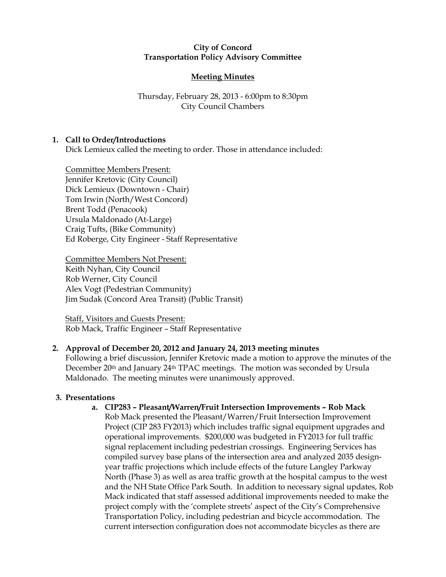### City of Concord Transportation Policy Advisory Committee

# Meeting Minutes

# Thursday, February 28, 2013 - 6:00pm to 8:30pm City Council Chambers

# 1. Call to Order/Introductions

Dick Lemieux called the meeting to order. Those in attendance included:

Committee Members Present: Jennifer Kretovic (City Council) Dick Lemieux (Downtown - Chair) Tom Irwin (North/West Concord) Brent Todd (Penacook) Ursula Maldonado (At-Large) Craig Tufts, (Bike Community) Ed Roberge, City Engineer - Staff Representative

Committee Members Not Present: Keith Nyhan, City Council Rob Werner, City Council Alex Vogt (Pedestrian Community) Jim Sudak (Concord Area Transit) (Public Transit)

Staff, Visitors and Guests Present: Rob Mack, Traffic Engineer – Staff Representative

# 2. Approval of December 20, 2012 and January 24, 2013 meeting minutes

Following a brief discussion, Jennifer Kretovic made a motion to approve the minutes of the December 20<sup>th</sup> and January 24<sup>th</sup> TPAC meetings. The motion was seconded by Ursula Maldonado. The meeting minutes were unanimously approved.

# 3. Presentations

# a. CIP283 – Pleasant/Warren/Fruit Intersection Improvements – Rob Mack

Rob Mack presented the Pleasant/Warren/Fruit Intersection Improvement Project (CIP 283 FY2013) which includes traffic signal equipment upgrades and operational improvements. \$200,000 was budgeted in FY2013 for full traffic signal replacement including pedestrian crossings. Engineering Services has compiled survey base plans of the intersection area and analyzed 2035 designyear traffic projections which include effects of the future Langley Parkway North (Phase 3) as well as area traffic growth at the hospital campus to the west and the NH State Office Park South. In addition to necessary signal updates, Rob Mack indicated that staff assessed additional improvements needed to make the project comply with the 'complete streets' aspect of the City's Comprehensive Transportation Policy, including pedestrian and bicycle accommodation. The current intersection configuration does not accommodate bicycles as there are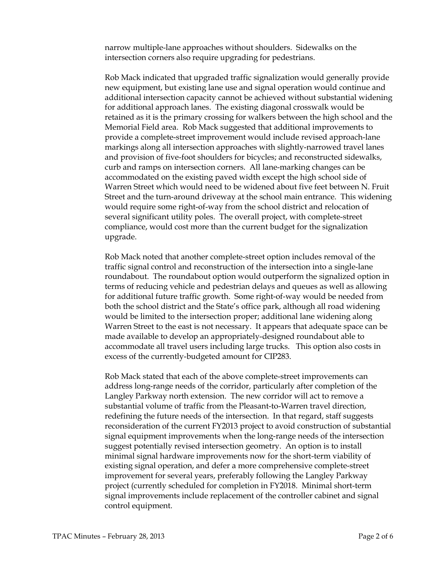narrow multiple-lane approaches without shoulders. Sidewalks on the intersection corners also require upgrading for pedestrians.

Rob Mack indicated that upgraded traffic signalization would generally provide new equipment, but existing lane use and signal operation would continue and additional intersection capacity cannot be achieved without substantial widening for additional approach lanes. The existing diagonal crosswalk would be retained as it is the primary crossing for walkers between the high school and the Memorial Field area. Rob Mack suggested that additional improvements to provide a complete-street improvement would include revised approach-lane markings along all intersection approaches with slightly-narrowed travel lanes and provision of five-foot shoulders for bicycles; and reconstructed sidewalks, curb and ramps on intersection corners. All lane-marking changes can be accommodated on the existing paved width except the high school side of Warren Street which would need to be widened about five feet between N. Fruit Street and the turn-around driveway at the school main entrance. This widening would require some right-of-way from the school district and relocation of several significant utility poles. The overall project, with complete-street compliance, would cost more than the current budget for the signalization upgrade.

Rob Mack noted that another complete-street option includes removal of the traffic signal control and reconstruction of the intersection into a single-lane roundabout. The roundabout option would outperform the signalized option in terms of reducing vehicle and pedestrian delays and queues as well as allowing for additional future traffic growth. Some right-of-way would be needed from both the school district and the State's office park, although all road widening would be limited to the intersection proper; additional lane widening along Warren Street to the east is not necessary. It appears that adequate space can be made available to develop an appropriately-designed roundabout able to accommodate all travel users including large trucks. This option also costs in excess of the currently-budgeted amount for CIP283.

Rob Mack stated that each of the above complete-street improvements can address long-range needs of the corridor, particularly after completion of the Langley Parkway north extension. The new corridor will act to remove a substantial volume of traffic from the Pleasant-to-Warren travel direction, redefining the future needs of the intersection. In that regard, staff suggests reconsideration of the current FY2013 project to avoid construction of substantial signal equipment improvements when the long-range needs of the intersection suggest potentially revised intersection geometry. An option is to install minimal signal hardware improvements now for the short-term viability of existing signal operation, and defer a more comprehensive complete-street improvement for several years, preferably following the Langley Parkway project (currently scheduled for completion in FY2018. Minimal short-term signal improvements include replacement of the controller cabinet and signal control equipment.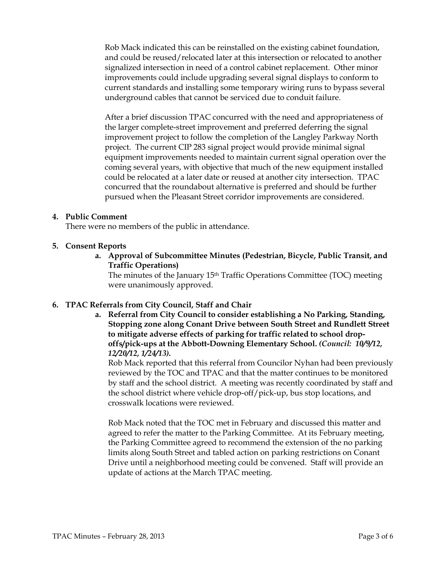Rob Mack indicated this can be reinstalled on the existing cabinet foundation, and could be reused/relocated later at this intersection or relocated to another signalized intersection in need of a control cabinet replacement. Other minor improvements could include upgrading several signal displays to conform to current standards and installing some temporary wiring runs to bypass several underground cables that cannot be serviced due to conduit failure.

After a brief discussion TPAC concurred with the need and appropriateness of the larger complete-street improvement and preferred deferring the signal improvement project to follow the completion of the Langley Parkway North project. The current CIP 283 signal project would provide minimal signal equipment improvements needed to maintain current signal operation over the coming several years, with objective that much of the new equipment installed could be relocated at a later date or reused at another city intersection. TPAC concurred that the roundabout alternative is preferred and should be further pursued when the Pleasant Street corridor improvements are considered.

### 4. Public Comment

There were no members of the public in attendance.

### 5. Consent Reports

a. Approval of Subcommittee Minutes (Pedestrian, Bicycle, Public Transit, and Traffic Operations)

The minutes of the January 15<sup>th</sup> Traffic Operations Committee (TOC) meeting were unanimously approved.

# 6. TPAC Referrals from City Council, Staff and Chair

a. Referral from City Council to consider establishing a No Parking, Standing, Stopping zone along Conant Drive between South Street and Rundlett Street to mitigate adverse effects of parking for traffic related to school dropoffs/pick-ups at the Abbott-Downing Elementary School. (Council: 10/9/12, 12/20/12, 1/24/13).

Rob Mack reported that this referral from Councilor Nyhan had been previously reviewed by the TOC and TPAC and that the matter continues to be monitored by staff and the school district. A meeting was recently coordinated by staff and the school district where vehicle drop-off/pick-up, bus stop locations, and crosswalk locations were reviewed.

Rob Mack noted that the TOC met in February and discussed this matter and agreed to refer the matter to the Parking Committee. At its February meeting, the Parking Committee agreed to recommend the extension of the no parking limits along South Street and tabled action on parking restrictions on Conant Drive until a neighborhood meeting could be convened. Staff will provide an update of actions at the March TPAC meeting.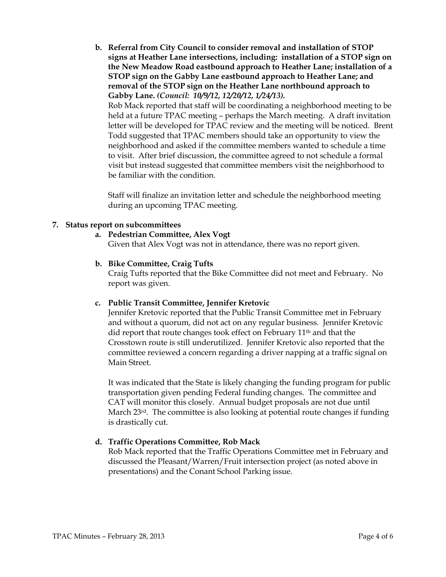b. Referral from City Council to consider removal and installation of STOP signs at Heather Lane intersections, including: installation of a STOP sign on the New Meadow Road eastbound approach to Heather Lane; installation of a STOP sign on the Gabby Lane eastbound approach to Heather Lane; and removal of the STOP sign on the Heather Lane northbound approach to Gabby Lane. (Council: 10/9/12, 12/20/12, 1/24/13). Rob Mack reported that staff will be coordinating a neighborhood meeting to be held at a future TPAC meeting – perhaps the March meeting. A draft invitation letter will be developed for TPAC review and the meeting will be noticed. Brent Todd suggested that TPAC members should take an opportunity to view the neighborhood and asked if the committee members wanted to schedule a time to visit. After brief discussion, the committee agreed to not schedule a formal visit but instead suggested that committee members visit the neighborhood to be familiar with the condition.

Staff will finalize an invitation letter and schedule the neighborhood meeting during an upcoming TPAC meeting.

### 7. Status report on subcommittees

a. Pedestrian Committee, Alex Vogt

Given that Alex Vogt was not in attendance, there was no report given.

b. Bike Committee, Craig Tufts

Craig Tufts reported that the Bike Committee did not meet and February. No report was given.

#### c. Public Transit Committee, Jennifer Kretovic

Jennifer Kretovic reported that the Public Transit Committee met in February and without a quorum, did not act on any regular business. Jennifer Kretovic did report that route changes took effect on February 11th and that the Crosstown route is still underutilized. Jennifer Kretovic also reported that the committee reviewed a concern regarding a driver napping at a traffic signal on Main Street.

It was indicated that the State is likely changing the funding program for public transportation given pending Federal funding changes. The committee and CAT will monitor this closely. Annual budget proposals are not due until March 23<sup>rd</sup>. The committee is also looking at potential route changes if funding is drastically cut.

### d. Traffic Operations Committee, Rob Mack

Rob Mack reported that the Traffic Operations Committee met in February and discussed the Pleasant/Warren/Fruit intersection project (as noted above in presentations) and the Conant School Parking issue.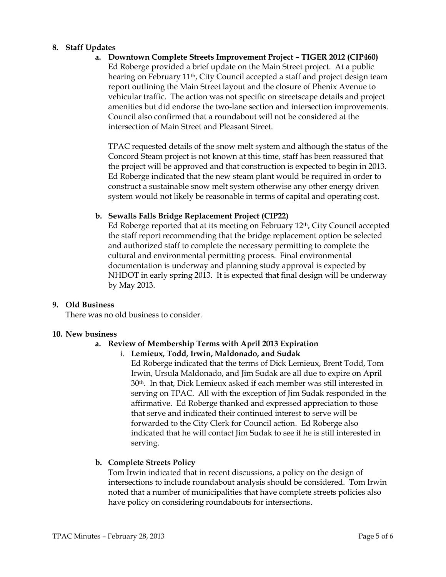### 8. Staff Updates

a. Downtown Complete Streets Improvement Project – TIGER 2012 (CIP460) Ed Roberge provided a brief update on the Main Street project. At a public hearing on February 11th, City Council accepted a staff and project design team

report outlining the Main Street layout and the closure of Phenix Avenue to vehicular traffic. The action was not specific on streetscape details and project amenities but did endorse the two-lane section and intersection improvements. Council also confirmed that a roundabout will not be considered at the intersection of Main Street and Pleasant Street.

TPAC requested details of the snow melt system and although the status of the Concord Steam project is not known at this time, staff has been reassured that the project will be approved and that construction is expected to begin in 2013. Ed Roberge indicated that the new steam plant would be required in order to construct a sustainable snow melt system otherwise any other energy driven system would not likely be reasonable in terms of capital and operating cost.

# b. Sewalls Falls Bridge Replacement Project (CIP22)

Ed Roberge reported that at its meeting on February 12<sup>th</sup>, City Council accepted the staff report recommending that the bridge replacement option be selected and authorized staff to complete the necessary permitting to complete the cultural and environmental permitting process. Final environmental documentation is underway and planning study approval is expected by NHDOT in early spring 2013. It is expected that final design will be underway by May 2013.

# 9. Old Business

There was no old business to consider.

### 10. New business

# a. Review of Membership Terms with April 2013 Expiration

i. Lemieux, Todd, Irwin, Maldonado, and Sudak

Ed Roberge indicated that the terms of Dick Lemieux, Brent Todd, Tom Irwin, Ursula Maldonado, and Jim Sudak are all due to expire on April 30th. In that, Dick Lemieux asked if each member was still interested in serving on TPAC. All with the exception of Jim Sudak responded in the affirmative. Ed Roberge thanked and expressed appreciation to those that serve and indicated their continued interest to serve will be forwarded to the City Clerk for Council action. Ed Roberge also indicated that he will contact Jim Sudak to see if he is still interested in serving.

# b. Complete Streets Policy

Tom Irwin indicated that in recent discussions, a policy on the design of intersections to include roundabout analysis should be considered. Tom Irwin noted that a number of municipalities that have complete streets policies also have policy on considering roundabouts for intersections.